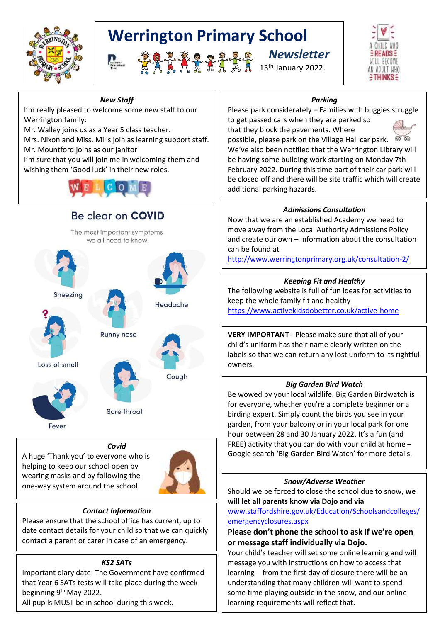

# **Werrington Primary School**

 *Newsletter* <del>『</del> 点入入力是まれ朵れ 13th January 2022.



#### *New Staff*

I'm really pleased to welcome some new staff to our Werrington family:

Mr. Walley joins us as a Year 5 class teacher.

Mrs. Nixon and Miss. Mills join as learning support staff. Mr. Mountford joins as our janitor

I'm sure that you will join me in welcoming them and wishing them 'Good luck' in their new roles.



# Be clear on COVID

The most important symptoms we all need to know!



Sneezing



Loss of smell



Runny nose



Headache

Sore throat

# *Covid*

A huge 'Thank you' to everyone who is helping to keep our school open by wearing masks and by following the one-way system around the school.



# *Contact Information*

Please ensure that the school office has current, up to date contact details for your child so that we can quickly contact a parent or carer in case of an emergency.

# *KS2 SATs*

Important diary date: The Government have confirmed that Year 6 SATs tests will take place during the week beginning 9<sup>th</sup> May 2022.

All pupils MUST be in school during this week.

# *Parking*

Please park considerately – Families with buggies struggle to get passed cars when they are parked so that they block the pavements. Where



possible, please park on the Village Hall car park. We've also been notified that the Werrington Library will be having some building work starting on Monday 7th February 2022. During this time part of their car park will be closed off and there will be site traffic which will create additional parking hazards.

# *Admissions Consultation*

Now that we are an established Academy we need to move away from the Local Authority Admissions Policy and create our own – Information about the consultation can be found at

<http://www.werringtonprimary.org.uk/consultation-2/>

### *Keeping Fit and Healthy*

The following website is full of fun ideas for activities to keep the whole family fit and healthy <https://www.activekidsdobetter.co.uk/active-home>

**VERY IMPORTANT** - Please make sure that all of your child's uniform has their name clearly written on the labels so that we can return any lost uniform to its rightful owners.

# *Big Garden Bird Watch*

Be wowed by your local wildlife. Big Garden Birdwatch is for everyone, whether you're a complete beginner or a birding expert. Simply count the birds you see in your garden, from your balcony or in your local park for one hour between 28 and 30 January 2022. It's a fun (and FREE) activity that you can do with your child at home – Google search 'Big Garden Bird Watch' for more details.

#### *Snow/Adverse Weather*

Should we be forced to close the school due to snow, **we will let all parents know via Dojo and via**  [www.staffordshire.gov.uk/Education/Schoolsandcolleges/](http://www.staffordshire.gov.uk/Education/Schoolsandcolleges/emergencyclosures.aspx)

#### [emergencyclosures.aspx](http://www.staffordshire.gov.uk/Education/Schoolsandcolleges/emergencyclosures.aspx)

**Please don't phone the school to ask if we're open or message staff individually via Dojo.**

Your child's teacher will set some online learning and will message you with instructions on how to access that learning - from the first day of closure there will be an understanding that many children will want to spend some time playing outside in the snow, and our online learning requirements will reflect that.